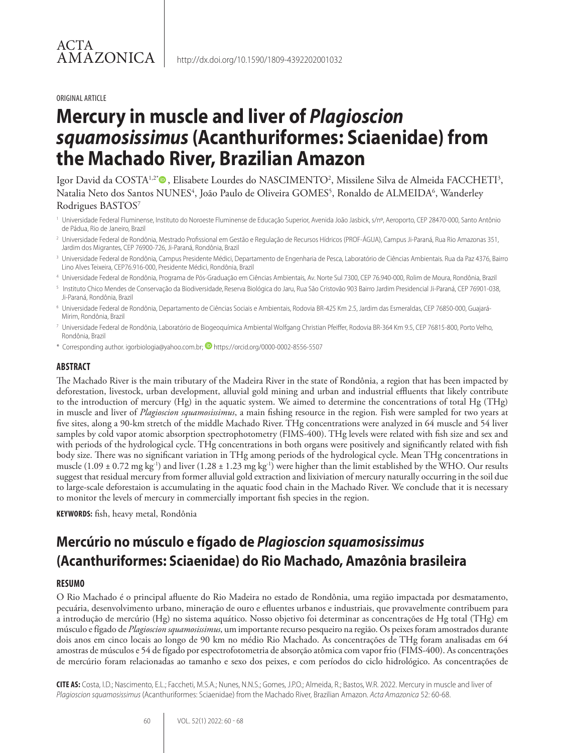#### ORIGINAL ARTICLE

# **Mercury in muscle and liver of** *Plagioscion squamosissimus* **(Acanthuriformes: Sciaenidae) from the Machado River, Brazilian Amazon**

Igor David da COSTA½®, Elisabete Lourdes do NASCIMENTO², Missilene Silva de Almeida FACCHETI<sup>3</sup>, Natalia Neto dos Santos NUNES<sup>4</sup>, João Paulo de Oliveira GOMES<sup>5</sup>, Ronaldo de ALMEIDA<sup>6</sup>, Wanderley Rodrigues BASTOS7

- 1 Universidade Federal Fluminense, Instituto do Noroeste Fluminense de Educação Superior, Avenida João Jasbick, s/nº, Aeroporto, CEP 28470-000, Santo Antônio de Pádua, Rio de Janeiro, Brazil
- 2 Universidade Federal de Rondônia, Mestrado Profissional em Gestão e Regulação de Recursos Hídricos (PROF-ÁGUA), Campus Ji-Paraná, Rua Rio Amazonas 351, Jardim dos Migrantes, CEP 76900-726, Ji-Paraná, Rondônia, Brazil
- 3 Universidade Federal de Rondônia, Campus Presidente Médici, Departamento de Engenharia de Pesca, Laboratório de Ciências Ambientais. Rua da Paz 4376, Bairro Lino Alves Teixeira, CEP76.916-000, Presidente Médici, Rondônia, Brazil
- 4 Universidade Federal de Rondônia, Programa de Pós-Graduação em Ciências Ambientais, Av. Norte Sul 7300, CEP 76.940-000, Rolim de Moura, Rondônia, Brazil
- 5 Instituto Chico Mendes de Conservação da Biodiversidade, Reserva Biológica do Jaru, Rua São Cristovão 903 Bairro Jardim Presidencial Ji-Paraná, CEP 76901-038, Ji-Paraná, Rondônia, Brazil
- 6 Universidade Federal de Rondônia, Departamento de Ciências Sociais e Ambientais, Rodovia BR-425 Km 2.5, Jardim das Esmeraldas, CEP 76850-000, Guajará-Mirim, Rondônia, Brazil
- 7 Universidade Federal de Rondônia, Laboratório de Biogeoquímica Ambiental Wolfgang Christian Pfeiffer, Rodovia BR-364 Km 9.5, CEP 76815-800, Porto Velho, Rondônia, Brazil
- \* Corresponding author. igorbiologia@yahoo.com.br; **D** https://orcid.org/0000-0002-8556-5507

#### **ABSTRACT**

The Machado River is the main tributary of the Madeira River in the state of Rondônia, a region that has been impacted by deforestation, livestock, urban development, alluvial gold mining and urban and industrial effluents that likely contribute to the introduction of mercury (Hg) in the aquatic system. We aimed to determine the concentrations of total Hg (THg) in muscle and liver of *Plagioscion squamosissimus*, a main fishing resource in the region*.* Fish were sampled for two years at five sites, along a 90-km stretch of the middle Machado River. THg concentrations were analyzed in 64 muscle and 54 liver samples by cold vapor atomic absorption spectrophotometry (FIMS-400). THg levels were related with fish size and sex and with periods of the hydrological cycle. THg concentrations in both organs were positively and significantly related with fish body size. There was no significant variation in THg among periods of the hydrological cycle. Mean THg concentrations in muscle (1.09  $\pm$  0.72 mg kg<sup>-1</sup>) and liver (1.28  $\pm$  1.23 mg kg<sup>-1</sup>) were higher than the limit established by the WHO. Our results suggest that residual mercury from former alluvial gold extraction and lixiviation of mercury naturally occurring in the soil due to large-scale deforestaion is accumulating in the aquatic food chain in the Machado River. We conclude that it is necessary to monitor the levels of mercury in commercially important fish species in the region.

**KEYWORDS:** fish, heavy metal, Rondônia

# **Mercúrio no músculo e fígado de** *Plagioscion squamosissimus* **(Acanthuriformes: Sciaenidae) do Rio Machado, Amazônia brasileira**

#### **RESUMO**

O Rio Machado é o principal afluente do Rio Madeira no estado de Rondônia, uma região impactada por desmatamento, pecuária, desenvolvimento urbano, mineração de ouro e efluentes urbanos e industriais, que provavelmente contribuem para a introdução de mercúrio (Hg) no sistema aquático. Nosso objetivo foi determinar as concentrações de Hg total (THg) em músculo e fígado de *Plagioscion squamosissimus*, um importante recurso pesqueiro na região. Os peixes foram amostrados durante dois anos em cinco locais ao longo de 90 km no médio Rio Machado. As concentrações de THg foram analisadas em 64 amostras de músculos e 54 de fígado por espectrofotometria de absorção atômica com vapor frio (FIMS-400). As concentrações de mercúrio foram relacionadas ao tamanho e sexo dos peixes, e com períodos do ciclo hidrológico. As concentrações de

**CITE AS:** Costa, I.D.; Nascimento, E.L.; Faccheti, M.S.A.; Nunes, N.N.S.; Gomes, J.P.O.; Almeida, R.; Bastos, W.R. 2022. Mercury in muscle and liver of *Plagioscion squamosissimus* (Acanthuriformes: Sciaenidae) from the Machado River, Brazilian Amazon. *Acta Amazonica* 52: 60-68.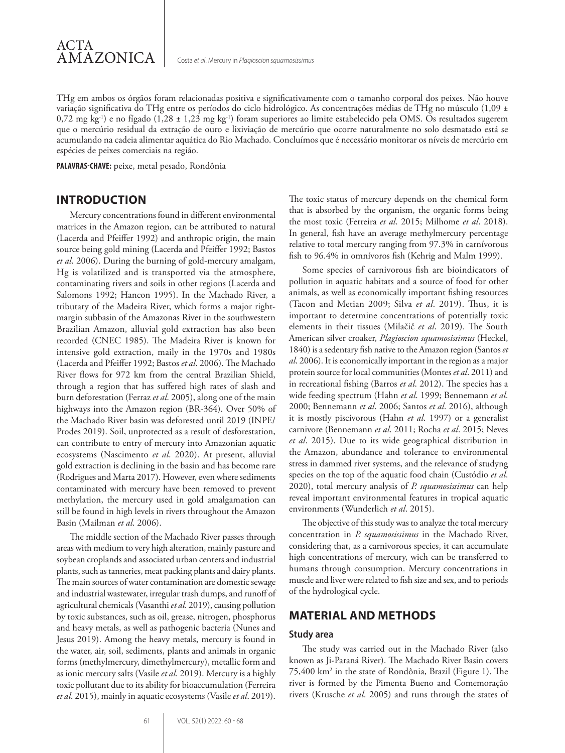

THg em ambos os órgãos foram relacionadas positiva e significativamente com o tamanho corporal dos peixes. Não houve variação significativa do THg entre os períodos do ciclo hidrológico. As concentrações médias de THg no músculo (1,09 ±  $0,72$  mg kg<sup>-1</sup>) e no fígado (1,28 ± 1,23 mg kg<sup>-1</sup>) foram superiores ao limite estabelecido pela OMS. Os resultados sugerem que o mercúrio residual da extração de ouro e lixiviação de mercúrio que ocorre naturalmente no solo desmatado está se acumulando na cadeia alimentar aquática do Rio Machado. Concluímos que é necessário monitorar os níveis de mercúrio em espécies de peixes comerciais na região.

**PALAVRAS-CHAVE:** peixe, metal pesado, Rondônia

# **INTRODUCTION**

Mercury concentrations found in different environmental matrices in the Amazon region, can be attributed to natural (Lacerda and Pfeiffer 1992) and anthropic origin, the main source being gold mining (Lacerda and Pfeiffer 1992; Bastos *et al*. 2006). During the burning of gold-mercury amalgam, Hg is volatilized and is transported via the atmosphere, contaminating rivers and soils in other regions (Lacerda and Salomons 1992; Hancon 1995). In the Machado River, a tributary of the Madeira River, which forms a major rightmargin subbasin of the Amazonas River in the southwestern Brazilian Amazon, alluvial gold extraction has also been recorded (CNEC 1985). The Madeira River is known for intensive gold extraction, maily in the 1970s and 1980s (Lacerda and Pfeiffer 1992; Bastos *et al*. 2006). The Machado River flows for 972 km from the central Brazilian Shield, through a region that has suffered high rates of slash and burn deforestation (Ferraz *et al*. 2005), along one of the main highways into the Amazon region (BR-364). Over 50% of the Machado River basin was deforested until 2019 (INPE/ Prodes 2019). Soil, unprotected as a result of desforestation, can contribute to entry of mercury into Amazonian aquatic ecosystems (Nascimento *et al*. 2020). At present, alluvial gold extraction is declining in the basin and has become rare (Rodrigues and Marta 2017). However, even where sediments contaminated with mercury have been removed to prevent methylation, the mercury used in gold amalgamation can still be found in high levels in rivers throughout the Amazon Basin (Mailman *et al*. 2006).

The middle section of the Machado River passes through areas with medium to very high alteration, mainly pasture and soybean croplands and associated urban centers and industrial plants, such as tanneries, meat packing plants and dairy plants. The main sources of water contamination are domestic sewage and industrial wastewater, irregular trash dumps, and runoff of agricultural chemicals (Vasanthi *et al*. 2019), causing pollution by toxic substances, such as oil, grease, nitrogen, phosphorus and heavy metals, as well as pathogenic bacteria (Nunes and Jesus 2019). Among the heavy metals, mercury is found in the water, air, soil, sediments, plants and animals in organic forms (methylmercury, dimethylmercury), metallic form and as ionic mercury salts (Vasile *et al*. 2019). Mercury is a highly toxic pollutant due to its ability for bioaccumulation (Ferreira *et al*. 2015), mainly in aquatic ecosystems (Vasile *et al*. 2019). The toxic status of mercury depends on the chemical form that is absorbed by the organism, the organic forms being the most toxic (Ferreira *et al*. 2015; Milhome *et al*. 2018). In general, fish have an average methylmercury percentage relative to total mercury ranging from 97.3% in carnívorous fish to 96.4% in omnívoros fish (Kehrig and Malm 1999).

Some species of carnivorous fish are bioindicators of pollution in aquatic habitats and a source of food for other animals, as well as economically important fishing resources (Tacon and Metian 2009; Silva *et al*. 2019). Thus, it is important to determine concentrations of potentially toxic elements in their tissues (Milačič *et al*. 2019). The South American silver croaker, *Plagioscion squamosissimus* (Heckel, 1840) is a sedentary fish native to the Amazon region (Santos *et al*. 2006). It is economically important in the region as a major protein source for local communities (Montes *et al*. 2011) and in recreational fishing (Barros *et al*. 2012). The species has a wide feeding spectrum (Hahn *et al*. 1999; Bennemann *et al*. 2000; Bennemann *et al*. 2006; Santos *et al*. 2016), although it is mostly piscivorous (Hahn *et al*. 1997) or a generalist carnivore (Bennemann *et al*. 2011; Rocha *et al*. 2015; Neves *et al*. 2015). Due to its wide geographical distribution in the Amazon, abundance and tolerance to environmental stress in dammed river systems, and the relevance of studyng species on the top of the aquatic food chain (Custódio *et al*. 2020), total mercury analysis of *P. squamosissimus* can help reveal important environmental features in tropical aquatic environments (Wunderlich *et al*. 2015).

The objective of this study was to analyze the total mercury concentration in *P. squamosissimus* in the Machado River, considering that, as a carnivorous species, it can accumulate high concentrations of mercury, wich can be transferred to humans through consumption. Mercury concentrations in muscle and liver were related to fish size and sex, and to periods of the hydrological cycle.

### **MATERIAL AND METHODS**

#### **Study area**

The study was carried out in the Machado River (also known as Ji-Paraná River). The Machado River Basin covers 75,400 km2 in the state of Rondônia, Brazil (Figure 1). The river is formed by the Pimenta Bueno and Comemoração rivers (Krusche *et al*. 2005) and runs through the states of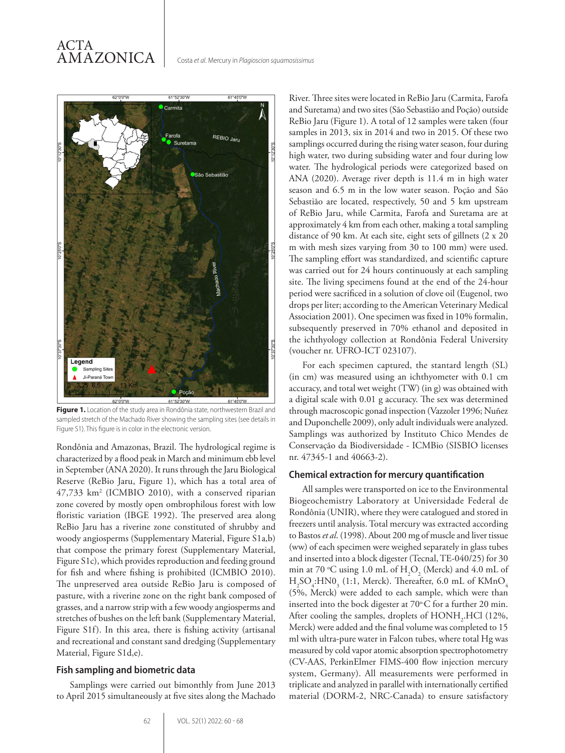# ACTA AMAZONICA



Figure 1. Location of the study area in Rondônia state, northwestern Brazil and sampled stretch of the Machado River showing the sampling sites (see details in Figure S1). This figure is in color in the electronic version.

Rondônia and Amazonas, Brazil. The hydrological regime is characterized by a flood peak in March and minimum ebb level in September (ANA 2020). It runs through the Jaru Biological Reserve (ReBio Jaru, Figure 1), which has a total area of 47,733 km2 (ICMBIO 2010), with a conserved riparian zone covered by mostly open ombrophilous forest with low floristic variation (IBGE 1992). The preserved area along ReBio Jaru has a riverine zone constituted of shrubby and woody angiosperms (Supplementary Material, Figure S1a,b) that compose the primary forest (Supplementary Material, Figure S1c), which provides reproduction and feeding ground for fish and where fishing is prohibited (ICMBIO 2010). The unpreserved area outside ReBio Jaru is composed of pasture, with a riverine zone on the right bank composed of grasses, and a narrow strip with a few woody angiosperms and stretches of bushes on the left bank (Supplementary Material, Figure S1f). In this area, there is fishing activity (artisanal and recreational and constant sand dredging (Supplementary Material, Figure S1d,e).

#### **Fish sampling and biometric data**

Samplings were carried out bimonthly from June 2013 to April 2015 simultaneously at five sites along the Machado

River. Three sites were located in ReBio Jaru (Carmita, Farofa and Suretama) and two sites (São Sebastião and Poção) outside ReBio Jaru (Figure 1). A total of 12 samples were taken (four samples in 2013, six in 2014 and two in 2015. Of these two samplings occurred during the rising water season, four during high water, two during subsiding water and four during low water. The hydrological periods were categorized based on ANA (2020). Average river depth is 11.4 m in high water season and 6.5 m in the low water season. Poção and São Sebastião are located, respectively, 50 and 5 km upstream of ReBio Jaru, while Carmita, Farofa and Suretama are at approximately 4 km from each other, making a total sampling distance of 90 km. At each site, eight sets of gillnets (2 x 20 m with mesh sizes varying from 30 to 100 mm) were used. The sampling effort was standardized, and scientific capture was carried out for 24 hours continuously at each sampling site. The living specimens found at the end of the 24-hour period were sacrificed in a solution of clove oil (Eugenol, two drops per liter; according to the American Veterinary Medical Association 2001). One specimen was fixed in 10% formalin, subsequently preserved in 70% ethanol and deposited in the ichthyology collection at Rondônia Federal University (voucher nr. UFRO-ICT 023107).

For each specimen captured, the stantard length (SL) (in cm) was measured using an ichthyometer with 0.1 cm accuracy, and total wet weight (TW) (in g) was obtained with a digital scale with 0.01 g accuracy. The sex was determined through macroscopic gonad inspection (Vazzoler 1996; Nuñez and Duponchelle 2009), only adult individuals were analyzed. Samplings was authorized by Instituto Chico Mendes de Conservação da Biodiversidade - ICMBio (SISBIO licenses nr. 47345-1 and 40663-2).

#### **Chemical extraction for mercury quantification**

All samples were transported on ice to the Environmental Biogeochemistry Laboratory at Universidade Federal de Rondônia (UNIR), where they were catalogued and stored in freezers until analysis. Total mercury was extracted according to Bastos *et al*. (1998). About 200 mg of muscle and liver tissue (ww) of each specimen were weighed separately in glass tubes and inserted into a block digester (Tecnal, TE-040/25) for 30 min at 70 °C using 1.0 mL of  $H_2O_2$  (Merck) and 4.0 mL of  $H_2SO_4$ :HN0<sub>3</sub> (1:1, Merck). Thereafter, 6.0 mL of KMnO<sub>4</sub> (5%, Merck) were added to each sample, which were than inserted into the bock digester at  $70^{\circ}$ C for a further 20 min. After cooling the samples, droplets of  $HONH_2$ .HCl (12%, Merck) were added and the final volume was completed to 15 ml with ultra-pure water in Falcon tubes, where total Hg was measured by cold vapor atomic absorption spectrophotometry (CV-AAS, PerkinElmer FIMS-400 flow injection mercury system, Germany). All measurements were performed in triplicate and analyzed in parallel with internationally certified material (DORM-2, NRC-Canada) to ensure satisfactory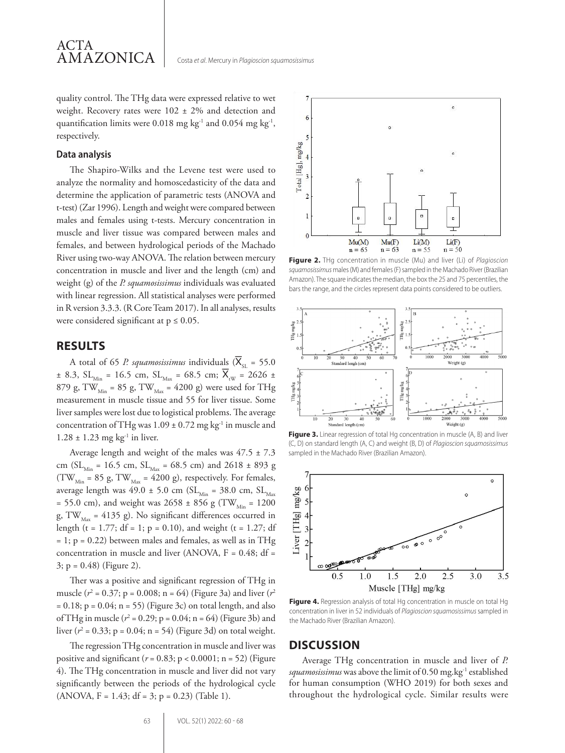quality control. The THg data were expressed relative to wet weight. Recovery rates were 102 ± 2% and detection and quantification limits were 0.018 mg kg<sup>-1</sup> and 0.054 mg kg<sup>-1</sup>, respectively.

#### **Data analysis**

The Shapiro-Wilks and the Levene test were used to analyze the normality and homoscedasticity of the data and determine the application of parametric tests (ANOVA and t-test) (Zar 1996). Length and weight were compared between males and females using t-tests. Mercury concentration in muscle and liver tissue was compared between males and females, and between hydrological periods of the Machado River using two-way ANOVA. The relation between mercury concentration in muscle and liver and the length (cm) and weight (g) of the *P. squamosissimus* individuals was evaluated with linear regression. All statistical analyses were performed in R version 3.3.3. (R Core Team 2017). In all analyses, results were considered significant at  $p \leq 0.05$ .

## **RESULTS**

A total of 65 *P. squamosissimus* individuals ( $\overline{X}_{ST}$  = 55.0  $\pm$  8.3, SL<sub>Min</sub> = 16.5 cm, SL<sub>Max</sub> = 68.5 cm;  $\overline{X}_{\text{tw}}$  = 2626  $\pm$ 879 g, TW<sub>Min</sub> = 85 g, TW<sub>Max</sub> = 4200 g) were used for THg measurement in muscle tissue and 55 for liver tissue. Some liver samples were lost due to logistical problems. The average concentration of THg was  $1.09 \pm 0.72$  mg kg<sup>-1</sup> in muscle and  $1.28 \pm 1.23$  mg kg<sup>-1</sup> in liver.

Average length and weight of the males was 47.5 ± 7.3 cm (SL<sub>Min</sub> = 16.5 cm, SL<sub>Max</sub> = 68.5 cm) and 2618 ± 893 g (TW<sub>Min</sub> = 85 g, TW<sub>Max</sub> = 4200 g), respectively. For females, average length was  $49.0 \pm 5.0$  cm (SL<sub>Min</sub> = 38.0 cm, SL<sub>Max</sub> = 55.0 cm), and weight was 2658 ± 856 g (TW<sub>Min</sub> = 1200 g, TW<sub>Max</sub> = 4135 g). No significant differences occurred in length (t = 1.77; df = 1; p = 0.10), and weight (t = 1.27; df  $= 1$ ;  $p = 0.22$ ) between males and females, as well as in THg concentration in muscle and liver (ANOVA, F = 0.48; df = 3; p = 0.48) (Figure 2).

Ther was a positive and significant regression of THg in muscle (*r*<sup>2</sup> = 0.37; p = 0.008; n = 64) (Figure 3a) and liver (*r*<sup>2</sup>  $= 0.18$ ; p = 0.04; n = 55) (Figure 3c) on total length, and also of THg in muscle ( $r^2$  = 0.29; p = 0.04; n = 64) (Figure 3b) and liver (*r*<sup>2</sup> = 0.33; p = 0.04; n = 54) (Figure 3d) on total weight.

The regression THg concentration in muscle and liver was positive and significant  $(r = 0.83; p < 0.0001; n = 52)$  (Figure 4). The THg concentration in muscle and liver did not vary significantly between the periods of the hydrological cycle  $(ANOVA, F = 1.43; df = 3; p = 0.23)$  (Table 1).



**Figure 2.** THg concentration in muscle (Mu) and liver (Li) of *Plagioscion squamosissimus* males (M) and females (F) sampled in the Machado River (Brazilian Amazon). The square indicates the median, the box the 25 and 75 percentiles, the bars the range, and the circles represent data points considered to be outliers.



**Figure 3.** Linear regression of total Hg concentration in muscle (A, B) and liver (C, D) on standard length (A, C) and weight (B, D) of *Plagioscion squamosissimus*  sampled in the Machado River (Brazilian Amazon).



Figure 4. Regression analysis of total Hg concentration in muscle on total Hg concentration in liver in 52 individuals of *Plagioscion squamosissimus* sampled in the Machado River (Brazilian Amazon).

## **DISCUSSION**

Average THg concentration in muscle and liver of *P.*  squamosissimus was above the limit of 0.50 mg.kg<sup>-1</sup> established for human consumption (WHO 2019) for both sexes and throughout the hydrological cycle. Similar results were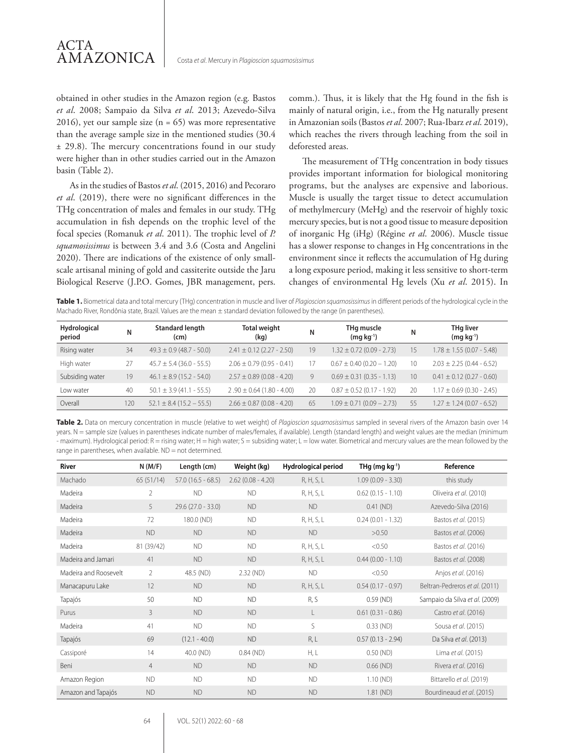

obtained in other studies in the Amazon region (e.g*.* Bastos *et al*. 2008; Sampaio da Silva *et al*. 2013; Azevedo-Silva 2016), yet our sample size  $(n = 65)$  was more representative than the average sample size in the mentioned studies (30.4 ± 29.8). The mercury concentrations found in our study were higher than in other studies carried out in the Amazon basin (Table 2).

As in the studies of Bastos *et al*. (2015, 2016) and Pecoraro *et al*. (2019), there were no significant differences in the THg concentration of males and females in our study. THg accumulation in fish depends on the trophic level of the focal species (Romanuk *et al*. 2011). The trophic level of *P. squamosissimus* is between 3.4 and 3.6 (Costa and Angelini 2020). There are indications of the existence of only smallscale artisanal mining of gold and cassiterite outside the Jaru Biological Reserve (J.P.O. Gomes, JBR management, pers.

comm.). Thus, it is likely that the Hg found in the fish is mainly of natural origin, i.e., from the Hg naturally present in Amazonian soils (Bastos *et al*. 2007; Rua-Ibarz *et al*. 2019), which reaches the rivers through leaching from the soil in deforested areas.

The measurement of THg concentration in body tissues provides important information for biological monitoring programs, but the analyses are expensive and laborious. Muscle is usually the target tissue to detect accumulation of methylmercury (MeHg) and the reservoir of highly toxic mercury species, but is not a good tissue to measure deposition of inorganic Hg (iHg) (Régine *et al*. 2006). Muscle tissue has a slower response to changes in Hg concentrations in the environment since it reflects the accumulation of Hg during a long exposure period, making it less sensitive to short-term changes of environmental Hg levels (Xu *et al*. 2015). In

**Table 1.** Biometrical data and total mercury (THg) concentration in muscle and liver of *Plagioscion squamosissimus* in different periods of the hydrological cycle in the Machado River, Rondônia state, Brazil. Values are the mean ± standard deviation followed by the range (in parentheses).

| Hydrological<br>period | Ν   | <b>Standard length</b><br>(cm) | <b>Total weight</b><br>(kg)   | Ν  | THg muscle<br>$(mq kq^{-1})$  |                 | <b>THg liver</b><br>$(mq kq^{-1})$ |
|------------------------|-----|--------------------------------|-------------------------------|----|-------------------------------|-----------------|------------------------------------|
| Rising water           | 34  | $49.3 \pm 0.9$ (48.7 - 50.0)   | $2.41 \pm 0.12$ (2.27 - 2.50) | 19 | $1.32 \pm 0.72$ (0.09 - 2.73) | 15              | $1.78 \pm 1.55$ (0.07 - 5.48)      |
| High water             | 27  | $45.7 \pm 5.4$ (36.0 - 55.5)   | $2.06 \pm 0.79$ (0.95 - 0.41) | 17 | $0.67 \pm 0.40$ (0.20 - 1.20) | 10              | $2.03 \pm 2.25 (0.44 - 6.52)$      |
| Subsiding water        | 19  | $46.1 \pm 8.9$ (15.2 - 54.0)   | $2.57 \pm 0.89$ (0.08 - 4.20) | 9  | $0.69 \pm 0.31$ (0.35 - 1.13) | 10 <sup>2</sup> | $0.41 \pm 0.12$ (0.27 - 0.60)      |
| Low water              | 40  | $50.1 \pm 3.9$ (41.1 - 55.5)   | $2.90 \pm 0.64$ (1.80 - 4.00) | 20 | $0.87 \pm 0.52$ (0.17 - 1.92) | 20              | $1.17 \pm 0.69$ (0.30 - 2.45)      |
| Overall                | 120 | $52.1 \pm 8.4 (15.2 - 55.5)$   | $2.66 \pm 0.87$ (0.08 - 4.20) | 65 | $1.09 \pm 0.71 (0.09 - 2.73)$ | 55              | $1.27 \pm 1.24 (0.07 - 6.52)$      |

**Table 2.** Data on mercury concentration in muscle (relative to wet weight) of *Plagioscion squamosissimus* sampled in several rivers of the Amazon basin over 14 years. N = sample size (values in parentheses indicate number of males/females, if available). Length (standard length) and weight values are the median (minimum - maximum). Hydrological period: R = rising water; H = high water; S = subsiding water; L = low water. Biometrical and mercury values are the mean followed by the range in parentheses, when available.  $ND = not$  determined.

| River                 | N(M/F)         | Length (cm)         | Weight (kg)         | Hydrological period | THg (mg $kg^{-1}$ ) | Reference                      |
|-----------------------|----------------|---------------------|---------------------|---------------------|---------------------|--------------------------------|
| Machado               | 65(51/14)      | $57.0(16.5 - 68.5)$ | $2.62(0.08 - 4.20)$ | R, H, S, L          | $1.09(0.09 - 3.30)$ | this study                     |
| Madeira               | $\overline{2}$ | <b>ND</b>           | <b>ND</b>           | R, H, S, L          | $0.62(0.15 - 1.10)$ | Oliveira et al. (2010)         |
| Madeira               | 5              | $29.6(27.0 - 33.0)$ | <b>ND</b>           | <b>ND</b>           | $0.41$ (ND)         | Azevedo-Silva (2016)           |
| Madeira               | 72             | 180.0 (ND)          | <b>ND</b>           | R, H, S, L          | $0.24(0.01 - 1.32)$ | Bastos et al. (2015)           |
| Madeira               | <b>ND</b>      | <b>ND</b>           | <b>ND</b>           | <b>ND</b>           | >0.50               | Bastos et al. (2006)           |
| Madeira               | 81 (39/42)     | <b>ND</b>           | <b>ND</b>           | R, H, S, L          | < 0.50              | Bastos et al. (2016)           |
| Madeira and Jamari    | 41             | <b>ND</b>           | <b>ND</b>           | R, H, S, L          | $0.44(0.00 - 1.10)$ | Bastos et al. (2008)           |
| Madeira and Roosevelt | 2              | 48.5 (ND)           | 2.32 (ND)           | <b>ND</b>           | < 0.50              | Anjos et al. (2016)            |
| Manacapuru Lake       | 12             | <b>ND</b>           | <b>ND</b>           | R, H, S, L          | $0.54(0.17 - 0.97)$ | Beltran-Pedreros et al. (2011) |
| Tapajós               | 50             | <b>ND</b>           | <b>ND</b>           | R, S                | $0.59$ (ND)         | Sampaio da Silva et al. (2009) |
| Purus                 | 3              | <b>ND</b>           | <b>ND</b>           | L                   | $0.61(0.31 - 0.86)$ | Castro et al. (2016)           |
| Madeira               | 41             | <b>ND</b>           | <b>ND</b>           | S                   | $0.33$ (ND)         | Sousa et al. (2015)            |
| Tapajós               | 69             | $(12.1 - 40.0)$     | <b>ND</b>           | R, L                | $0.57(0.13 - 2.94)$ | Da Silva et al. (2013)         |
| Cassiporé             | 14             | 40.0 (ND)           | $0.84$ (ND)         | H, L                | $0.50$ (ND)         | Lima et al. (2015)             |
| Beni                  | $\overline{4}$ | <b>ND</b>           | <b>ND</b>           | <b>ND</b>           | $0.66$ (ND)         | Rivera et al. (2016)           |
| Amazon Region         | <b>ND</b>      | <b>ND</b>           | <b>ND</b>           | <b>ND</b>           | 1.10 (ND)           | Bittarello et al. (2019)       |
| Amazon and Tapajós    | <b>ND</b>      | <b>ND</b>           | <b>ND</b>           | <b>ND</b>           | $1.81$ (ND)         | Bourdineaud et al. (2015)      |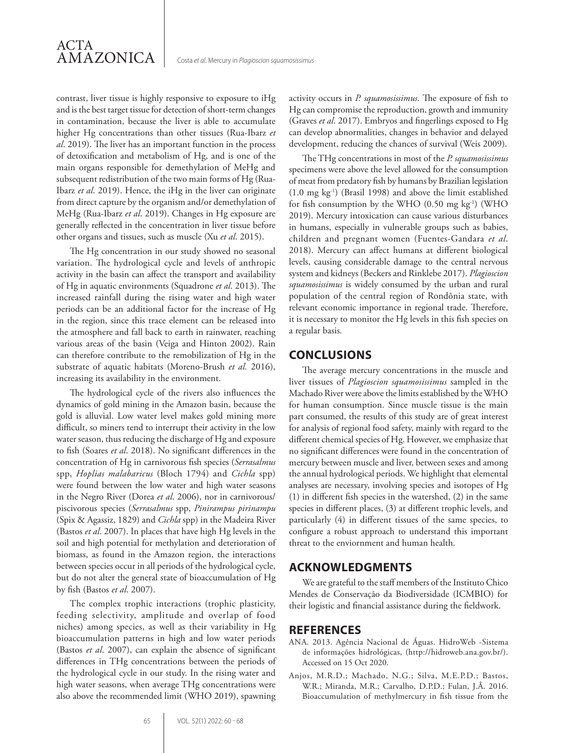contrast, liver tissue is highly responsive to exposure to iHg and is the best target tissue for detection of short-term changes in contamination, because the liver is able to accumulate higher Hg concentrations than other tissues (Rua-Ibarz *et al*. 2019). The liver has an important function in the process of detoxification and metabolism of Hg, and is one of the main organs responsible for demethylation of MeHg and subsequent redistribution of the two main forms of Hg (Rua-Ibarz *et al*. 2019). Hence, the iHg in the liver can originate from direct capture by the organism and/or demethylation of MeHg (Rua-Ibarz *et al*. 2019). Changes in Hg exposure are generally reflected in the concentration in liver tissue before other organs and tissues, such as muscle (Xu *et al*. 2015).

The Hg concentration in our study showed no seasonal variation. The hydrological cycle and levels of anthropic activity in the basin can affect the transport and availability of Hg in aquatic environments (Squadrone *et al*. 2013). The increased rainfall during the rising water and high water periods can be an additional factor for the increase of Hg in the region, since this trace element can be released into the atmosphere and fall back to earth in rainwater, reaching various areas of the basin (Veiga and Hinton 2002). Rain can therefore contribute to the remobilization of Hg in the substrate of aquatic habitats (Moreno-Brush *et al.* 2016), increasing its availability in the environment.

The hydrological cycle of the rivers also influences the dynamics of gold mining in the Amazon basin, because the gold is alluvial. Low water level makes gold mining more difficult, so miners tend to interrupt their activity in the low water season, thus reducing the discharge of Hg and exposure to fish (Soares *et al*. 2018). No significant differences in the concentration of Hg in carnivorous fish species (*Serrasalmus* spp, *Hoplias malabaricus* (Bloch 1794) and *Cichla* spp) were found between the low water and high water seasons in the Negro River (Dorea *et al*. 2006), nor in carnivorous/ piscivorous species (*Serrasalmus* spp, *Pinirampus pirinampu* (Spix & Agassiz, 1829) and *Cichla* spp) in the Madeira River (Bastos *et al*. 2007). In places that have high Hg levels in the soil and high potential for methylation and deterioration of biomass, as found in the Amazon region, the interactions between species occur in all periods of the hydrological cycle, but do not alter the general state of bioaccumulation of Hg by fish (Bastos *et al*. 2007).

The complex trophic interactions (trophic plasticity, feeding selectivity, amplitude and overlap of food niches) among species, as well as their variability in Hg bioaccumulation patterns in high and low water periods (Bastos *et al*. 2007), can explain the absence of significant differences in THg concentrations between the periods of the hydrological cycle in our study. In the rising water and high water seasons, when average THg concentrations were also above the recommended limit (WHO 2019), spawning activity occurs in *P. squamosissimus*. The exposure of fish to Hg can compromise the reproduction, growth and immunity (Graves *et al*. 2017). Embryos and fingerlings exposed to Hg can develop abnormalities, changes in behavior and delayed development, reducing the chances of survival (Weis 2009).

The THg concentrations in most of the *P. squamosissimus* specimens were above the level allowed for the consumption of meat from predatory fish by humans by Brazilian legislation (1.0 mg kg-1) (Brasil 1998) and above the limit established for fish consumption by the WHO (0.50 mg kg-1) (WHO 2019). Mercury intoxication can cause various disturbances in humans, especially in vulnerable groups such as babies, children and pregnant women (Fuentes-Gandara *et al*. 2018). Mercury can affect humans at different biological levels, causing considerable damage to the central nervous system and kidneys (Beckers and Rinklebe 2017). *Plagioscion squamosissimus* is widely consumed by the urban and rural population of the central region of Rondônia state, with relevant economic importance in regional trade. Therefore, it is necessary to monitor the Hg levels in this fish species on a regular basis*.*

# **CONCLUSIONS**

The average mercury concentrations in the muscle and liver tissues of *Plagioscion squamosissimus* sampled in the Machado River were above the limits established by the WHO for human consumption. Since muscle tissue is the main part consumed, the results of this study are of great interest for analysis of regional food safety, mainly with regard to the different chemical species of Hg. However, we emphasize that no significant differences were found in the concentration of mercury between muscle and liver, between sexes and among the annual hydrological periods. We highlight that elemental analyses are necessary, involving species and isotopes of Hg (1) in different fish species in the watershed, (2) in the same species in different places, (3) at different trophic levels, and particularly (4) in different tissues of the same species, to configure a robust approach to understand this important threat to the enviornment and human health.

# **ACKNOWLEDGMENTS**

We are grateful to the staff members of the Instituto Chico Mendes de Conservação da Biodiversidade (ICMBIO) for their logistic and financial assistance during the fieldwork.

# **REFERENCES**

- ANA. 2013. Agência Nacional de Águas. HidroWeb -Sistema de informações hidrológicas, (http://hidroweb.ana.gov.br/). Accessed on 15 Oct 2020.
- Anjos, M.R.D.; Machado, N.G.; Silva, M.E.P.D.; Bastos, W.R.; Miranda, M.R.; Carvalho, D.P.D.; Fulan, J.Â. 2016. Bioaccumulation of methylmercury in fish tissue from the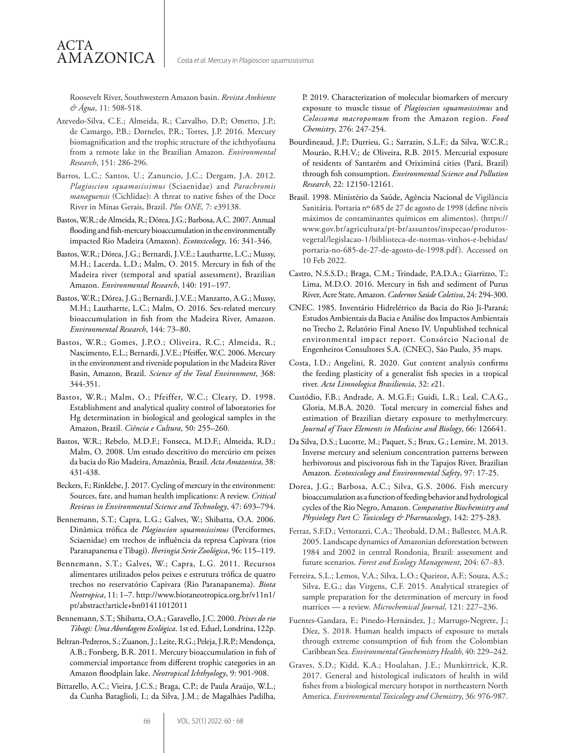Roosevelt River, Southwestern Amazon basin. *Revista Ambiente & Água*, 11: 508-518.

ACTA

AMAZONICA

- Azevedo-Silva, C.E.; Almeida, R.; Carvalho, D.P.; Ometto, J.P.; de Camargo, P.B.; Dorneles, P.R.; Torres, J.P. 2016. Mercury biomagnification and the trophic structure of the ichthyofauna from a remote lake in the Brazilian Amazon. *Environmental Research*, 151: 286-296.
- Barros, L.C.; Santos, U.; Zanuncio, J.C.; Dergam, J.A. 2012. *Plagioscion squamosissimus* (Sciaenidae) and *Parachromis managuensis* (Cichlidae): A threat to native fishes of the Doce River in Minas Gerais, Brazil. *Plos ONE,* 7: e39138.
- Bastos, W.R.; de Almeida, R.; Dórea, J.G.; Barbosa, A.C. 2007. Annual flooding and fish-mercury bioaccumulation in the environmentally impacted Rio Madeira (Amazon). *Ecotoxicology*, 16: 341-346.
- Bastos, W.R.; Dórea, J.G.; Bernardi, J.V.E.; Lauthartte, L.C.; Mussy, M.H.; Lacerda, L.D.; Malm, O. 2015. Mercury in fish of the Madeira river (temporal and spatial assessment), Brazilian Amazon. *Environmental Research*, 140: 191–197.
- Bastos, W.R.; Dórea, J.G.; Bernardi, J.V.E.; Manzatto, A.G.; Mussy, M.H.; Lauthartte, L.C.; Malm, O. 2016. Sex-related mercury bioaccumulation in fish from the Madeira River, Amazon. *Environmental Research*, 144: 73–80.
- Bastos, W.R.; Gomes, J.P.O.; Oliveira, R.C.; Almeida, R.; Nascimento, E.L.; Bernardi, J.V.E.; Pfeiffer, W.C. 2006. Mercury in the environment and riverside population in the Madeira River Basin, Amazon, Brazil. *Science of the Total Environment*, 368: 344-351.
- Bastos, W.R.; Malm, O.; Pfeiffer, W.C.; Cleary, D. 1998. Establishment and analytical quality control of laboratories for Hg determination in biological and geological samples in the Amazon, Brazil. *Ciência e Cultura*, 50: 255–260.
- Bastos, W.R.; Rebelo, M.D.F.; Fonseca, M.D.F.; Almeida, R.D.; Malm, O. 2008. Um estudo descritivo do mercúrio em peixes da bacia do Rio Madeira, Amazônia, Brasil. *Acta Amazonica*, 38: 431-438.
- Beckers, F.; Rinklebe, J. 2017. Cycling of mercury in the environment: Sources, fate, and human health implications: A review. *Critical Reviews in Environmental Science and Technology*, 47: 693–794.
- Bennemann, S.T.; Capra, L.G.; Galves, W.; Shibatta, O.A. 2006. Dinâmica trófica de *Plagioscion squamosissimus* (Perciformes, Sciaenidae) em trechos de influência da represa Capivara (rios Paranapanema e Tibagi). *Iheringia Serie Zoológica*, 96: 115–119.
- Bennemann, S.T.; Galves, W.; Capra, L.G. 2011. Recursos alimentares utilizados pelos peixes e estrutura trófica de quatro trechos no reservatório Capivara (Rio Paranapanema). *Biota Neotropica*, 11: 1–7. http://www.biotaneotropica.org.br/v11n1/ pt/abstract?article+bn01411012011
- Bennemann, S.T.; Shibatta, O.A.; Garavello, J.C. 2000. *Peixes do rio Tibagi: Uma Abordagem Ecológica*. 1st ed. Eduel, Londrina, 122p.
- Beltran-Pedreros, S.; Zuanon, J.; Leite, R.G.; Peleja, J.R.P.; Mendonça, A.B.; Forsberg, B.R. 2011. Mercury bioaccumulation in fish of commercial importance from different trophic categories in an Amazon floodplain lake. *Neotropical Ichthyology*, 9: 901-908.
- Bittarello, A.C.; Vieira, J.C.S.; Braga, C.P.; de Paula Araújo, W.L.; da Cunha Bataglioli, I.; da Silva, J.M.; de Magalhães Padilha,

P. 2019. Characterization of molecular biomarkers of mercury exposure to muscle tissue of *Plagioscion squamosissimus* and *Colossoma macropomum* from the Amazon region. *Food Chemistry*, 276: 247-254.

- Bourdineaud, J.P.; Durrieu, G.; Sarrazin, S.L.F.; da Silva, W.C.R.; Mourão, R.H.V.; de Oliveira, R.B. 2015. Mercurial exposure of residents of Santarém and Oriximiná cities (Pará, Brazil) through fish consumption. *Environmental Science and Pollution Research*, 22: 12150-12161.
- Brasil. 1998. Ministério da Saúde, Agência Nacional de Vigilância Sanitária. Portaria nº 685 de 27 de agosto de 1998 (define níveis máximos de contaminantes químicos em alimentos). (https:// www.gov.br/agricultura/pt-br/assuntos/inspecao/produtosvegetal/legislacao-1/biblioteca-de-normas-vinhos-e-bebidas/ portaria-no-685-de-27-de-agosto-de-1998.pdf). Accessed on 10 Feb 2022.
- Castro, N.S.S.D.; Braga, C.M.; Trindade, P.A.D.A.; Giarrizzo, T.; Lima, M.D.O. 2016. Mercury in fish and sediment of Purus River, Acre State, Amazon. *Cadernos Saúde Coletiva*, 24: 294-300.
- CNEC. 1985. Inventário Hidrelétrico da Bacia do Rio Ji-Paraná; Estudos Ambientais da Bacia e Análise dos Impactos Ambientais no Trecho 2, Relatório Final Anexo IV. Unpublished technical environmental impact report. Consórcio Nacional de Engenheiros Consultores S.A. (CNEC), São Paulo, 35 maps.
- Costa, I.D.; Angelini, R. 2020. Gut content analysis confirms the feeding plasticity of a generalist fish species in a tropical river. *Acta Limnologica Brasiliensia*, 32: *e*21.
- Custódio, F.B.; Andrade, A. M.G.F.; Guidi, L.R.; Leal, C.A.G., Gloria, M.B.A. 2020. Total mercury in comercial fishes and estimation of Brazilian dietary exposure to methylmercury. *Journal of Trace Elements in Medicine and Biology*, 66: 126641.
- Da Silva, D.S.; Lucotte, M.; Paquet, S.; Brux, G.; Lemire, M. 2013. Inverse mercury and selenium concentration patterns between herbivorous and piscivorous fish in the Tapajos River, Brazilian Amazon. *Ecotoxicology and Environmental Safety*, 97: 17-25.
- Dorea, J.G.; Barbosa, A.C.; Silva, G.S. 2006. Fish mercury bioaccumulation as a function of feeding behavior and hydrological cycles of the Rio Negro, Amazon. *Comparative Biochemistry and Physiology Part C: Toxicology & Pharmacology*, 142: 275-283.
- Ferraz, S.F.D.; Vettorazzi, C.A.; Theobald, D.M.; Ballester, M.A.R. 2005. Landscape dynamics of Amazonian deforestation between 1984 and 2002 in central Rondonia, Brazil: assessment and future scenarios. *Forest and Ecology Management*, 204: 67–83.
- Ferreira, S.L.; Lemos, V.A.; Silva, L.O.; Queiroz, A.F.; Souza, A.S.; Silva, E.G.; das Virgens, C.F. 2015. Analytical strategies of sample preparation for the determination of mercury in food matrices — a review. *Microchemical Journal*, 121: 227–236.
- Fuentes-Gandara, F.; Pinedo-Hernández, J.; Marrugo-Negrete, J.; Díez, S. 2018. Human health impacts of exposure to metals through extreme consumption of fish from the Colombian Caribbean Sea. *Environmental Geochemistry Health*, 40: 229–242.
- Graves, S.D.; Kidd, K.A.; Houlahan, J.E.; Munkittrick, K.R. 2017. General and histological indicators of health in wild fishes from a biological mercury hotspot in northeastern North America. *Environmental Toxicology and Chemistry*, 36: 976-987.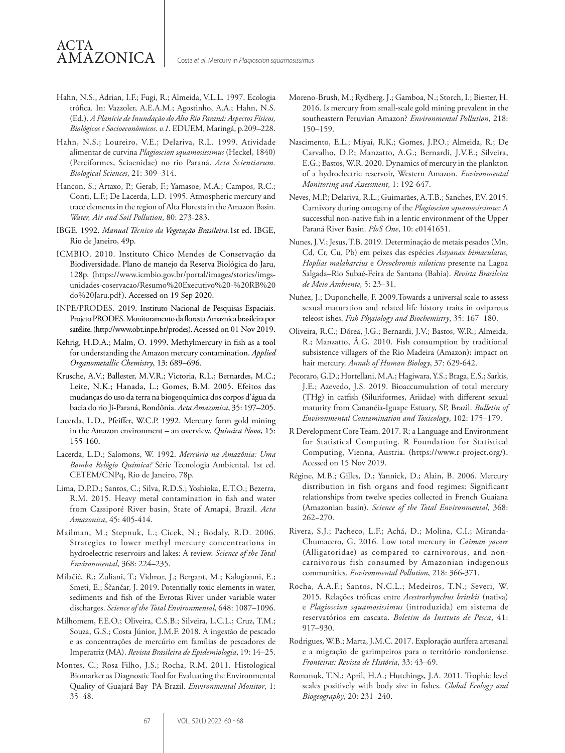# ACTA AMAZONICA

- Hahn, N.S., Adrian, I.F.; Fugi, R.; Almeida, V.L.L. 1997. Ecologia trófica. In: Vazzoler, A.E.A.M.; Agostinho, A.A.; Hahn, N.S. (Ed.). *A Planície de Inundação do Alto Rio Paraná: Aspectos Físicos, Biológicos e Socioeconômicos*. *v.1*. EDUEM, Maringá, p.209–228.
- Hahn, N.S.; Loureiro, V.E.; Delariva, R.L. 1999. Atividade alimentar de curvina *Plagioscion squamosissimus* (Heckel, 1840) (Perciformes, Sciaenidae) no rio Paraná. *Acta Scientiarum. Biological Sciences*, 21: 309–314.
- Hancon, S.; Artaxo, P.; Gerab, F.; Yamasoe, M.A.; Campos, R.C.; Conti, L.F.; De Lacerda, L.D. 1995. Atmospheric mercury and trace elements in the region of Alta Floresta in the Amazon Basin. *Water, Air and Soil Pollution*, 80: 273-283.
- IBGE. 1992. *Manual Técnico da Vegetação Brasileira.*1st ed. IBGE, Rio de Janeiro, 49p.
- ICMBIO. 2010. Instituto Chico Mendes de Conservação da Biodiversidade. Plano de manejo da Reserva Biológica do Jaru, 128p. (https://www.icmbio.gov.br/portal/images/stories/imgsunidades-coservacao/Resumo%20Executivo%20-%20RB%20 do%20Jaru.pdf). Accessed on 19 Sep 2020.
- INPE/PRODES. 2019. Instituto Nacional de Pesquisas Espaciais. Projeto PRODES. Monitoramento da floresta Amaznica brasileira por satélite. (http://www.obt.inpe.br/prodes). Acessed on 01 Nov 2019.
- Kehrig, H.D.A.; Malm, O. 1999. Methylmercury in fish as a tool for understanding the Amazon mercury contamination. *Applied Organometallic Chemistry*, 13: 689–696.
- Krusche, A.V.; Ballester, M.V.R.; Victoria, R.L.; Bernardes, M.C.; Leite, N.K.; Hanada, L.; Gomes, B.M. 2005. Efeitos das mudanças do uso da terra na biogeoquímica dos corpos d'água da bacia do rio Ji-Paraná, Rondônia. *Acta Amazonica*, 35: 197–205.
- Lacerda, L.D., Pfeiffer, W.C.P. 1992. Mercury form gold mining in the Amazon environment – an overview. *Química Nova*, 15: 155-160.
- Lacerda, L.D.; Salomons, W. 1992. *Mercúrio na Amazônia: Uma Bomba Relógio Química?* Série Tecnologia Ambiental. 1st ed. CETEM/CNPq, Rio de Janeiro, 78p.
- Lima, D.P.D.; Santos, C.; Silva, R.D.S.; Yoshioka, E.T.O.; Bezerra, R.M. 2015. Heavy metal contamination in fish and water from Cassiporé River basin, State of Amapá, Brazil. *Acta Amazonica*, 45: 405-414.
- Mailman, M.; Stepnuk, L.; Cicek, N.; Bodaly, R.D. 2006. Strategies to lower methyl mercury concentrations in hydroelectric reservoirs and lakes: A review. *Science of the Total Environmental*, 368: 224–235.
- Milačič, R.; Zuliani, T.; Vidmar, J.; Bergant, M.; Kalogianni, E.; Smeti, E.; Ščančar, J. 2019. Potentially toxic elements in water, sediments and fish of the Evrotas River under variable water discharges. *Science of the Total Environmental*, 648: 1087–1096.
- Milhomem, F.E.O.; Oliveira, C.S.B.; Silveira, L.C.L.; Cruz, T.M.; Souza, G.S.; Costa Júnior, J.M.F. 2018. A ingestão de pescado e as concentrações de mercúrio em famílias de pescadores de Imperatriz (MA). *Revista Brasileira de Epidemiologia*, 19: 14–25.
- Montes, C.; Rosa Filho, J.S.; Rocha, R.M. 2011. Histological Biomarker as Diagnostic Tool for Evaluating the Environmental Quality of Guajará Bay–PA-Brazil. *Environmental Monitor*, 1: 35–48.
- Moreno-Brush, M.; Rydberg. J.; Gamboa, N.; Storch, I.; Biester, H. 2016. Is mercury from small-scale gold mining prevalent in the southeastern Peruvian Amazon? *Environmental Pollution*, 218: 150–159.
- Nascimento, E.L.; Miyai, R.K.; Gomes, J.P.O.; Almeida, R.; De Carvalho, D.P.; Manzatto, A.G.; Bernardi, J.V.E.; Silveira, E.G.; Bastos, W.R. 2020. Dynamics of mercury in the plankton of a hydroelectric reservoir, Western Amazon. *Environmental Monitoring and Assessment*, 1: 192-647.
- Neves, M.P.; Delariva, R.L.; Guimarães, A.T.B.; Sanches, P.V. 2015. Carnivory during ontogeny of the *Plagioscion squamosissimus*: A successful non-native fish in a lentic environment of the Upper Paraná River Basin. *PloS One*, 10: e0141651.
- Nunes, J.V.; Jesus, T.B. 2019. Determinação de metais pesados (Mn, Cd, Cr, Cu, Pb) em peixes das espécies *Astyanax bimaculatus, Hoplias malabarcius* e *Oreochromis niloticus* presente na Lagoa Salgada–Rio Subaé-Feira de Santana (Bahia). *Revista Brasileira de Meio Ambiente*, 5: 23–31.
- Nuñez, J.; Duponchelle, F. 2009.Towards a universal scale to assess sexual maturation and related life history traits in oviparous teleost ishes. *Fish Physiology and Biochemistry*, 35: 167–180.
- Oliveira, R.C.; Dórea, J.G.; Bernardi, J.V.; Bastos, W.R.; Almeida, R.; Manzatto, Â.G. 2010. Fish consumption by traditional subsistence villagers of the Rio Madeira (Amazon): impact on hair mercury. *Annals of Human Biology*, 37: 629-642.
- Pecoraro, G.D.; Hortellani, M.A.; Hagiwara, Y.S.; Braga, E.S.; Sarkis, J.E.; Azevedo, J.S. 2019. Bioaccumulation of total mercury (THg) in catfish (Siluriformes, Ariidae) with different sexual maturity from Cananéia-Iguape Estuary, SP, Brazil. *Bulletin of Environmental Contamination and Toxicology*, 102: 175–179.
- R Development Core Team. 2017. R: a Language and Environment for Statistical Computing. R Foundation for Statistical Computing, Vienna, Austria. (https://www.r-project.org/). Acessed on 15 Nov 2019.
- Régine, M.B.; Gilles, D.; Yannick, D.; Alain, B. 2006. Mercury distribution in fish organs and food regimes: Significant relationships from twelve species collected in French Guaiana (Amazonian basin). *Science of the Total Environmental*, 368: 262−270.
- Rivera, S.J.; Pacheco, L.F.; Achá, D.; Molina, C.I.; Miranda-Chumacero, G. 2016. Low total mercury in *Caiman yacare* (Alligatoridae) as compared to carnivorous, and noncarnivorous fish consumed by Amazonian indigenous communities. *Environmental Pollution*, 218: 366-371.
- Rocha, A.A.F.; Santos, N.C.L.; Medeiros, T.N.; Severi, W. 2015. Relações tróficas entre *Acestrorhynchus britskii* (nativa) e *Plagioscion squamosissimus* (introduzida) em sistema de reservatórios em cascata. *Boletim do Insttuto de Pesca*, 41: 917–930.
- Rodrigues, W.B.; Marta, J.M.C. 2017. Exploração aurífera artesanal e a migração de garimpeiros para o território rondoniense. *Fronteiras: Revista de História*, 33: 43–69.
- Romanuk, T.N.; April, H.A.; Hutchings, J.A. 2011. Trophic level scales positively with body size in fishes. *Global Ecology and Biogeography*, 20: 231–240.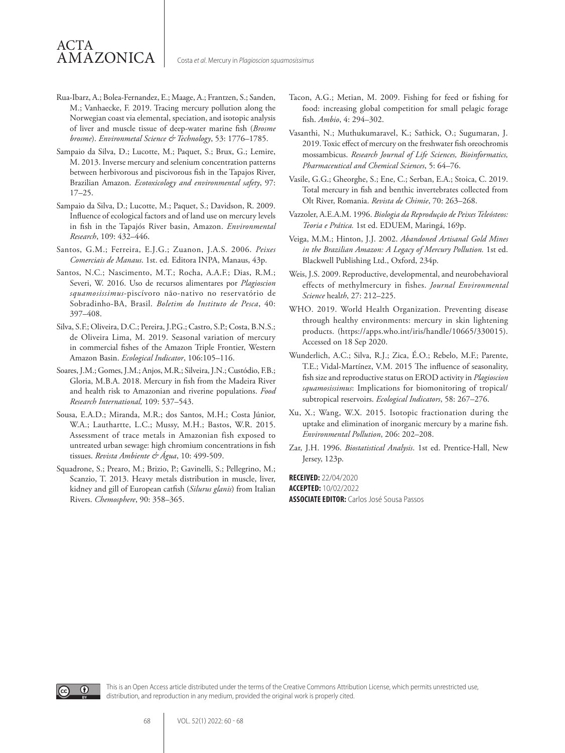# ACTA AMAZONICA

- Rua-Ibarz, A.; Bolea-Fernandez, E.; Maage, A.; Frantzen, S.; Sanden, M.; Vanhaecke, F. 2019. Tracing mercury pollution along the Norwegian coast via elemental, speciation, and isotopic analysis of liver and muscle tissue of deep-water marine fish (*Brosme brosme*). *Environmetal Science & Technology*, 53: 1776–1785.
- Sampaio da Silva, D.; Lucotte, M.; Paquet, S.; Brux, G.; Lemire, M. 2013. Inverse mercury and selenium concentration patterns between herbivorous and piscivorous fish in the Tapajos River, Brazilian Amazon. *Ecotoxicology and environmental safety*, 97: 17–25.
- Sampaio da Silva, D.; Lucotte, M.; Paquet, S.; Davidson, R. 2009. Influence of ecological factors and of land use on mercury levels in fish in the Tapajós River basin, Amazon. *Environmental Research*, 109: 432–446.
- Santos, G.M.; Ferreira, E.J.G.; Zuanon, J.A.S. 2006. *Peixes Comerciais de Manaus*. 1st. ed*.* Editora INPA, Manaus, 43p.
- Santos, N.C.; Nascimento, M.T.; Rocha, A.A.F.; Dias, R.M.; Severi, W. 2016. Uso de recursos alimentares por *Plagioscion squamosissimus*-piscívoro não-nativo no reservatório de Sobradinho-BA, Brasil. *Boletim do Instituto de Pesca*, 40: 397–408.
- Silva, S.F.; Oliveira, D.C.; Pereira, J.P.G.; Castro, S.P.; Costa, B.N.S.; de Oliveira Lima, M. 2019. Seasonal variation of mercury in commercial fishes of the Amazon Triple Frontier, Western Amazon Basin. *Ecological Indicator*, 106:105–116.
- Soares, J.M.; Gomes, J.M.; Anjos, M.R.; Silveira, J.N.; Custódio, F.B.; Gloria, M.B.A. 2018. Mercury in fish from the Madeira River and health risk to Amazonian and riverine populations. *Food Research International,* 109: 537–543.
- Sousa, E.A.D.; Miranda, M.R.; dos Santos, M.H.; Costa Júnior, W.A.; Lauthartte, L.C.; Mussy, M.H.; Bastos, W.R. 2015. Assessment of trace metals in Amazonian fish exposed to untreated urban sewage: high chromium concentrations in fish tissues. *Revista Ambiente & Água*, 10: 499-509.
- Squadrone, S.; Prearo, M.; Brizio, P.; Gavinelli, S.; Pellegrino, M.; Scanzio, T. 2013. Heavy metals distribution in muscle, liver, kidney and gill of European catfish (*Silurus glanis*) from Italian Rivers. *Chemosphere*, 90: 358–365.
- Tacon, A.G.; Metian, M. 2009. Fishing for feed or fishing for food: increasing global competition for small pelagic forage fish. *Ambio*, 4: 294–302.
- Vasanthi, N.; Muthukumaravel, K.; Sathick, O.; Sugumaran, J. 2019. Toxic effect of mercury on the freshwater fish oreochromis mossambicus. *Research Journal of Life Sciences, Bioinformatics, Pharmaceutical and Chemical Sciences*, 5: 64–76.
- Vasile, G.G.; Gheorghe, S.; Ene, C.; Serban, E.A.; Stoica, C. 2019. Total mercury in fish and benthic invertebrates collected from Olt River, Romania. *Revista de Chimie*, 70: 263–268.
- Vazzoler, A.E.A.M. 1996. *Biologia da Reprodução de Peixes Teleósteos: Teoria e Prática.* 1st ed. EDUEM, Maringá, 169p.
- Veiga, M.M.; Hinton, J.J. 2002. *Abandoned Artisanal Gold Mines in the Brazilian Amazon: A Legacy of Mercury Pollution.* 1st ed. Blackwell Publishing Ltd., Oxford, 234p.
- Weis, J.S. 2009. Reproductive, developmental, and neurobehavioral effects of methylmercury in fishes. *Journal Environmental Science* heal*th*, 27: 212–225.
- WHO. 2019. World Health Organization. Preventing disease through healthy environments: mercury in skin lightening products. (https://apps.who.int/iris/handle/10665/330015). Accessed on 18 Sep 2020.
- Wunderlich, A.C.; Silva, R.J.; Zica, É.O.; Rebelo, M.F.; Parente, T.E.; Vidal-Martínez, V.M. 2015 The influence of seasonality, fish size and reproductive status on EROD activity in *Plagioscion squamosissimus*: Implications for biomonitoring of tropical/ subtropical reservoirs. *Ecological Indicators*, 58: 267–276.
- Xu, X.; Wang, W.X. 2015. Isotopic fractionation during the uptake and elimination of inorganic mercury by a marine fish. *Environmental Pollution*, 206: 202–208.
- Zar, J.H. 1996. *Biostatistical Analysis*. 1st ed. Prentice-Hall, New Jersey, 123p.

**RECEIVED:** 22/04/2020 **ACCEPTED:** 10/02/2022 **ASSOCIATE EDITOR:** Carlos José Sousa Passos



This is an Open Access article distributed under the terms of the Creative Commons Attribution License, which permits unrestricted use, distribution, and reproduction in any medium, provided the original work is properly cited.